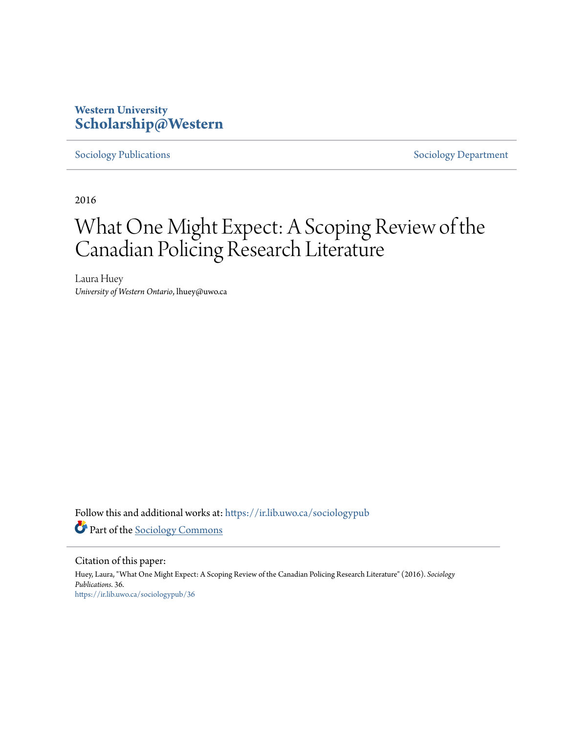# **Western University [Scholarship@Western](https://ir.lib.uwo.ca?utm_source=ir.lib.uwo.ca%2Fsociologypub%2F36&utm_medium=PDF&utm_campaign=PDFCoverPages)**

[Sociology Publications](https://ir.lib.uwo.ca/sociologypub?utm_source=ir.lib.uwo.ca%2Fsociologypub%2F36&utm_medium=PDF&utm_campaign=PDFCoverPages) [Sociology Department](https://ir.lib.uwo.ca/sociology?utm_source=ir.lib.uwo.ca%2Fsociologypub%2F36&utm_medium=PDF&utm_campaign=PDFCoverPages)

2016

# What One Might Expect: A Scoping Review of the Canadian Policing Research Literature

Laura Huey *University of Western Ontario*, lhuey@uwo.ca

Follow this and additional works at: [https://ir.lib.uwo.ca/sociologypub](https://ir.lib.uwo.ca/sociologypub?utm_source=ir.lib.uwo.ca%2Fsociologypub%2F36&utm_medium=PDF&utm_campaign=PDFCoverPages) Part of the [Sociology Commons](http://network.bepress.com/hgg/discipline/416?utm_source=ir.lib.uwo.ca%2Fsociologypub%2F36&utm_medium=PDF&utm_campaign=PDFCoverPages)

Citation of this paper: Huey, Laura, "What One Might Expect: A Scoping Review of the Canadian Policing Research Literature" (2016). *Sociology Publications*. 36. [https://ir.lib.uwo.ca/sociologypub/36](https://ir.lib.uwo.ca/sociologypub/36?utm_source=ir.lib.uwo.ca%2Fsociologypub%2F36&utm_medium=PDF&utm_campaign=PDFCoverPages)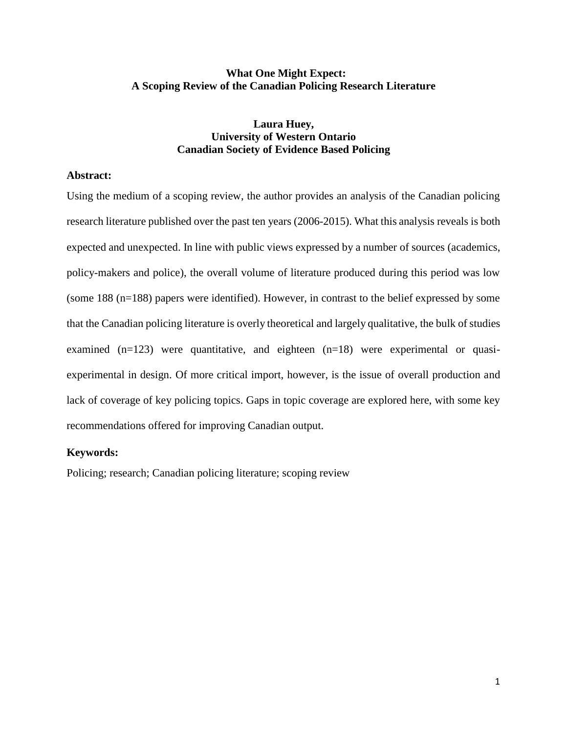# **What One Might Expect: A Scoping Review of the Canadian Policing Research Literature**

# **Laura Huey, University of Western Ontario Canadian Society of Evidence Based Policing**

#### **Abstract:**

Using the medium of a scoping review, the author provides an analysis of the Canadian policing research literature published over the past ten years (2006-2015). What this analysis reveals is both expected and unexpected. In line with public views expressed by a number of sources (academics, policy-makers and police), the overall volume of literature produced during this period was low (some 188 (n=188) papers were identified). However, in contrast to the belief expressed by some that the Canadian policing literature is overly theoretical and largely qualitative, the bulk of studies examined  $(n=123)$  were quantitative, and eighteen  $(n=18)$  were experimental or quasiexperimental in design. Of more critical import, however, is the issue of overall production and lack of coverage of key policing topics. Gaps in topic coverage are explored here, with some key recommendations offered for improving Canadian output.

#### **Keywords:**

Policing; research; Canadian policing literature; scoping review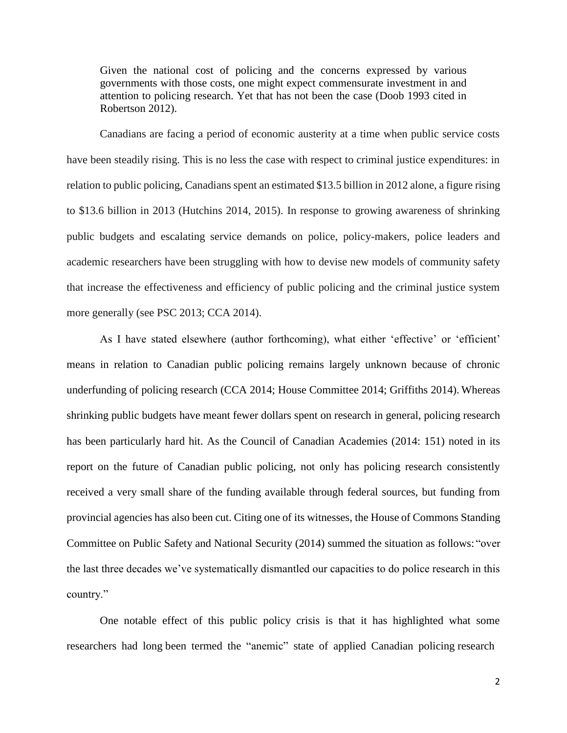Given the national cost of policing and the concerns expressed by various governments with those costs, one might expect commensurate investment in and attention to policing research. Yet that has not been the case (Doob 1993 cited in Robertson 2012).

Canadians are facing a period of economic austerity at a time when public service costs have been steadily rising. This is no less the case with respect to criminal justice expenditures: in relation to public policing, Canadians spent an estimated \$13.5 billion in 2012 alone, a figure rising to \$13.6 billion in 2013 (Hutchins 2014, 2015). In response to growing awareness of shrinking public budgets and escalating service demands on police, policy-makers, police leaders and academic researchers have been struggling with how to devise new models of community safety that increase the effectiveness and efficiency of public policing and the criminal justice system more generally (see PSC 2013; CCA 2014).

As I have stated elsewhere (author forthcoming), what either 'effective' or 'efficient' means in relation to Canadian public policing remains largely unknown because of chronic underfunding of policing research (CCA 2014; House Committee 2014; Griffiths 2014). Whereas shrinking public budgets have meant fewer dollars spent on research in general, policing research has been particularly hard hit. As the Council of Canadian Academies (2014: 151) noted in its report on the future of Canadian public policing, not only has policing research consistently received a very small share of the funding available through federal sources, but funding from provincial agencies has also been cut. Citing one of its witnesses, the House of Commons Standing Committee on Public Safety and National Security (2014) summed the situation as follows: "over the last three decades we've systematically dismantled our capacities to do police research in this country."

One notable effect of this public policy crisis is that it has highlighted what some researchers had long been termed the "anemic" state of applied Canadian policing research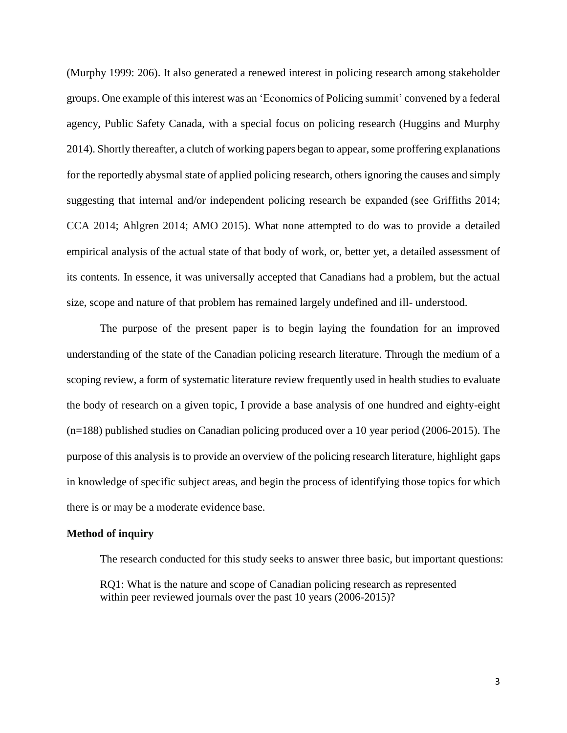(Murphy 1999: 206). It also generated a renewed interest in policing research among stakeholder groups. One example of this interest was an 'Economics of Policing summit' convened by a federal agency, Public Safety Canada, with a special focus on policing research (Huggins and Murphy 2014). Shortly thereafter, a clutch of working papers began to appear, some proffering explanations for the reportedly abysmal state of applied policing research, others ignoring the causes and simply suggesting that internal and/or independent policing research be expanded (see Griffiths 2014; CCA 2014; Ahlgren 2014; AMO 2015). What none attempted to do was to provide a detailed empirical analysis of the actual state of that body of work, or, better yet, a detailed assessment of its contents. In essence, it was universally accepted that Canadians had a problem, but the actual size, scope and nature of that problem has remained largely undefined and ill- understood.

The purpose of the present paper is to begin laying the foundation for an improved understanding of the state of the Canadian policing research literature. Through the medium of a scoping review, a form of systematic literature review frequently used in health studies to evaluate the body of research on a given topic, I provide a base analysis of one hundred and eighty-eight (n=188) published studies on Canadian policing produced over a 10 year period (2006-2015). The purpose of this analysis is to provide an overview of the policing research literature, highlight gaps in knowledge of specific subject areas, and begin the process of identifying those topics for which there is or may be a moderate evidence base.

#### **Method of inquiry**

The research conducted for this study seeks to answer three basic, but important questions:

RQ1: What is the nature and scope of Canadian policing research as represented within peer reviewed journals over the past 10 years (2006-2015)?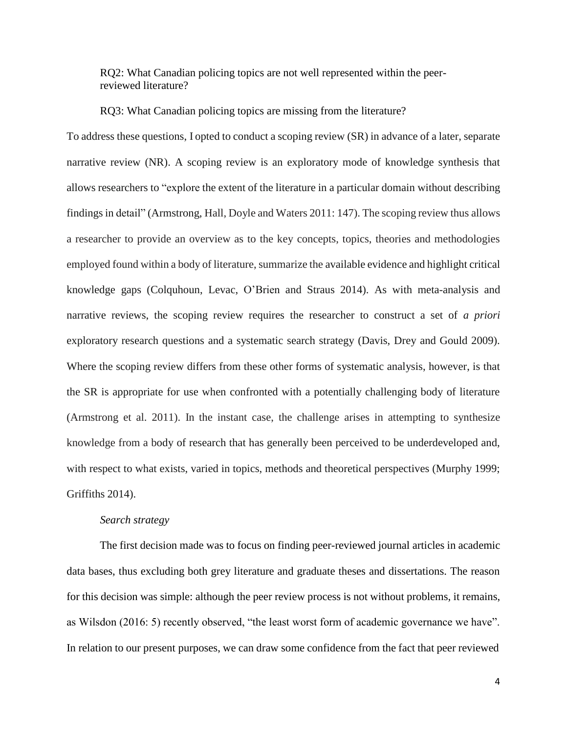RQ2: What Canadian policing topics are not well represented within the peerreviewed literature?

RQ3: What Canadian policing topics are missing from the literature?

To address these questions, I opted to conduct a scoping review (SR) in advance of a later, separate narrative review (NR). A scoping review is an exploratory mode of knowledge synthesis that allows researchers to "explore the extent of the literature in a particular domain without describing findings in detail" (Armstrong, Hall, Doyle and Waters 2011: 147). The scoping review thus allows a researcher to provide an overview as to the key concepts, topics, theories and methodologies employed found within a body of literature, summarize the available evidence and highlight critical knowledge gaps (Colquhoun, Levac, O'Brien and Straus 2014). As with meta-analysis and narrative reviews, the scoping review requires the researcher to construct a set of *a priori*  exploratory research questions and a systematic search strategy (Davis, Drey and Gould 2009). Where the scoping review differs from these other forms of systematic analysis, however, is that the SR is appropriate for use when confronted with a potentially challenging body of literature (Armstrong et al. 2011). In the instant case, the challenge arises in attempting to synthesize knowledge from a body of research that has generally been perceived to be underdeveloped and, with respect to what exists, varied in topics, methods and theoretical perspectives (Murphy 1999; Griffiths 2014).

#### *Search strategy*

The first decision made was to focus on finding peer-reviewed journal articles in academic data bases, thus excluding both grey literature and graduate theses and dissertations. The reason for this decision was simple: although the peer review process is not without problems, it remains, as Wilsdon (2016: 5) recently observed, "the least worst form of academic governance we have". In relation to our present purposes, we can draw some confidence from the fact that peer reviewed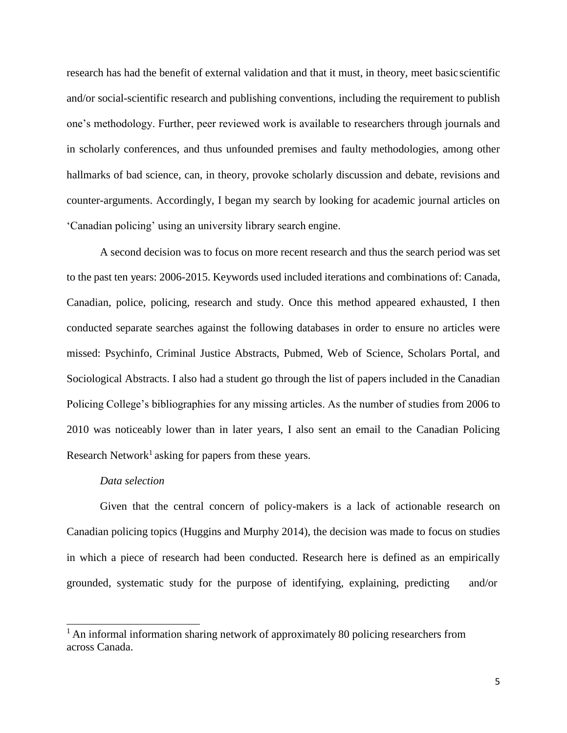research has had the benefit of external validation and that it must, in theory, meet basic scientific and/or social-scientific research and publishing conventions, including the requirement to publish one's methodology. Further, peer reviewed work is available to researchers through journals and in scholarly conferences, and thus unfounded premises and faulty methodologies, among other hallmarks of bad science, can, in theory, provoke scholarly discussion and debate, revisions and counter-arguments. Accordingly, I began my search by looking for academic journal articles on 'Canadian policing' using an university library search engine.

A second decision was to focus on more recent research and thus the search period was set to the past ten years: 2006-2015. Keywords used included iterations and combinations of: Canada, Canadian, police, policing, research and study. Once this method appeared exhausted, I then conducted separate searches against the following databases in order to ensure no articles were missed: Psychinfo, Criminal Justice Abstracts, Pubmed, Web of Science, Scholars Portal, and Sociological Abstracts. I also had a student go through the list of papers included in the Canadian Policing College's bibliographies for any missing articles. As the number of studies from 2006 to 2010 was noticeably lower than in later years, I also sent an email to the Canadian Policing Research Network<sup>1</sup> asking for papers from these years.

#### *Data selection*

Given that the central concern of policy-makers is a lack of actionable research on Canadian policing topics (Huggins and Murphy 2014), the decision was made to focus on studies in which a piece of research had been conducted. Research here is defined as an empirically grounded, systematic study for the purpose of identifying, explaining, predicting and/or

<sup>&</sup>lt;sup>1</sup> An informal information sharing network of approximately 80 policing researchers from across Canada.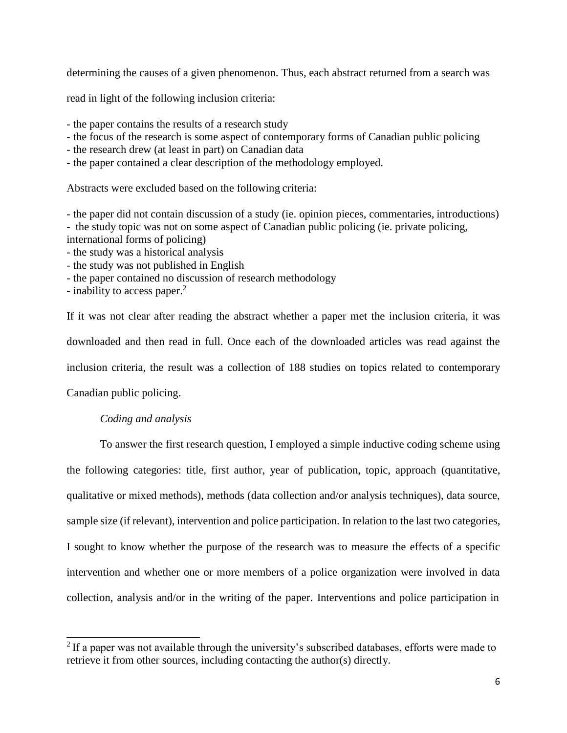determining the causes of a given phenomenon. Thus, each abstract returned from a search was

read in light of the following inclusion criteria:

- the paper contains the results of a research study

- the focus of the research is some aspect of contemporary forms of Canadian public policing
- the research drew (at least in part) on Canadian data
- the paper contained a clear description of the methodology employed.

Abstracts were excluded based on the following criteria:

- the paper did not contain discussion of a study (ie. opinion pieces, commentaries, introductions) - the study topic was not on some aspect of Canadian public policing (ie. private policing, international forms of policing)

- the study was a historical analysis
- the study was not published in English
- the paper contained no discussion of research methodology
- inability to access paper.<sup>2</sup>

If it was not clear after reading the abstract whether a paper met the inclusion criteria, it was downloaded and then read in full. Once each of the downloaded articles was read against the inclusion criteria, the result was a collection of 188 studies on topics related to contemporary

Canadian public policing.

# *Coding and analysis*

To answer the first research question, I employed a simple inductive coding scheme using the following categories: title, first author, year of publication, topic, approach (quantitative, qualitative or mixed methods), methods (data collection and/or analysis techniques), data source, sample size (if relevant), intervention and police participation. In relation to the last two categories, I sought to know whether the purpose of the research was to measure the effects of a specific intervention and whether one or more members of a police organization were involved in data collection, analysis and/or in the writing of the paper. Interventions and police participation in

 $2$  If a paper was not available through the university's subscribed databases, efforts were made to retrieve it from other sources, including contacting the author(s) directly.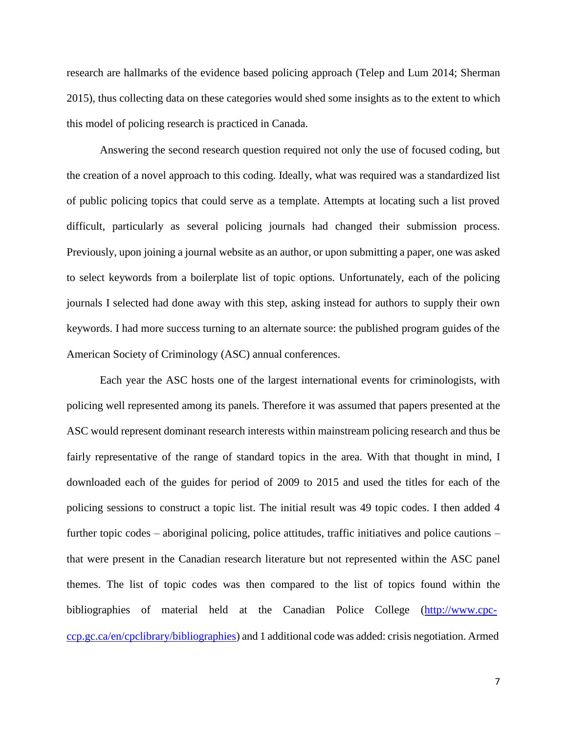research are hallmarks of the evidence based policing approach (Telep and Lum 2014; Sherman 2015), thus collecting data on these categories would shed some insights as to the extent to which this model of policing research is practiced in Canada.

Answering the second research question required not only the use of focused coding, but the creation of a novel approach to this coding. Ideally, what was required was a standardized list of public policing topics that could serve as a template. Attempts at locating such a list proved difficult, particularly as several policing journals had changed their submission process. Previously, upon joining a journal website as an author, or upon submitting a paper, one was asked to select keywords from a boilerplate list of topic options. Unfortunately, each of the policing journals I selected had done away with this step, asking instead for authors to supply their own keywords. I had more success turning to an alternate source: the published program guides of the American Society of Criminology (ASC) annual conferences.

Each year the ASC hosts one of the largest international events for criminologists, with policing well represented among its panels. Therefore it was assumed that papers presented at the ASC would represent dominant research interests within mainstream policing research and thus be fairly representative of the range of standard topics in the area. With that thought in mind, I downloaded each of the guides for period of 2009 to 2015 and used the titles for each of the policing sessions to construct a topic list. The initial result was 49 topic codes. I then added 4 further topic codes – aboriginal policing, police attitudes, traffic initiatives and police cautions – that were present in the Canadian research literature but not represented within the ASC panel themes. The list of topic codes was then compared to the list of topics found within the bibliographies of material held at the Canadian Police College [\(http://www.cpc](http://www.cpc-ccp.gc.ca/en/cpclibrary/bibliographies)[ccp.gc.ca/en/cpclibrary/bibliographies\)](http://www.cpc-ccp.gc.ca/en/cpclibrary/bibliographies) and 1 additional code was added: crisis negotiation. Armed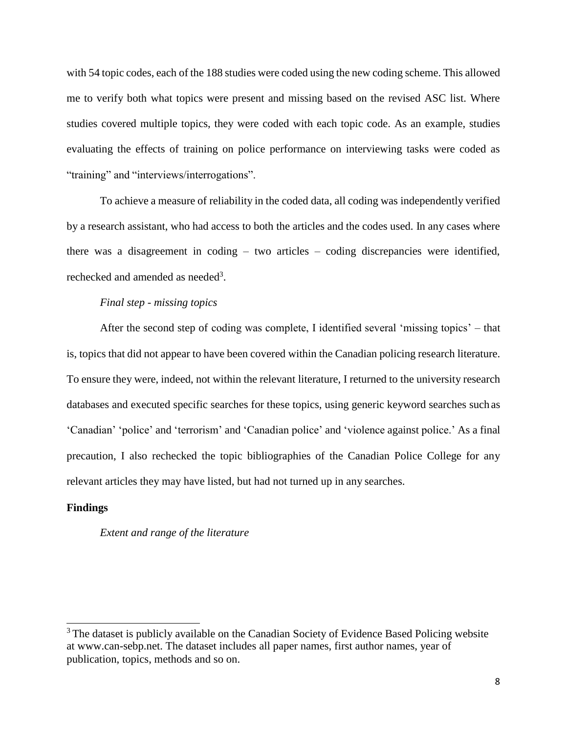with 54 topic codes, each of the 188 studies were coded using the new coding scheme. This allowed me to verify both what topics were present and missing based on the revised ASC list. Where studies covered multiple topics, they were coded with each topic code. As an example, studies evaluating the effects of training on police performance on interviewing tasks were coded as "training" and "interviews/interrogations".

To achieve a measure of reliability in the coded data, all coding was independently verified by a research assistant, who had access to both the articles and the codes used. In any cases where there was a disagreement in coding – two articles – coding discrepancies were identified, rechecked and amended as needed<sup>3</sup>.

# *Final step - missing topics*

After the second step of coding was complete, I identified several 'missing topics' – that is, topics that did not appear to have been covered within the Canadian policing research literature. To ensure they were, indeed, not within the relevant literature, I returned to the university research databases and executed specific searches for these topics, using generic keyword searches such as 'Canadian' 'police' and 'terrorism' and 'Canadian police' and 'violence against police.' As a final precaution, I also rechecked the topic bibliographies of the Canadian Police College for any relevant articles they may have listed, but had not turned up in any searches.

#### **Findings**

#### *Extent and range of the literature*

 $3$  The dataset is publicly available on the Canadian Society of Evidence Based Policing website at [www.can-sebp.net.](http://www.can-sebp.net/) The dataset includes all paper names, first author names, year of publication, topics, methods and so on.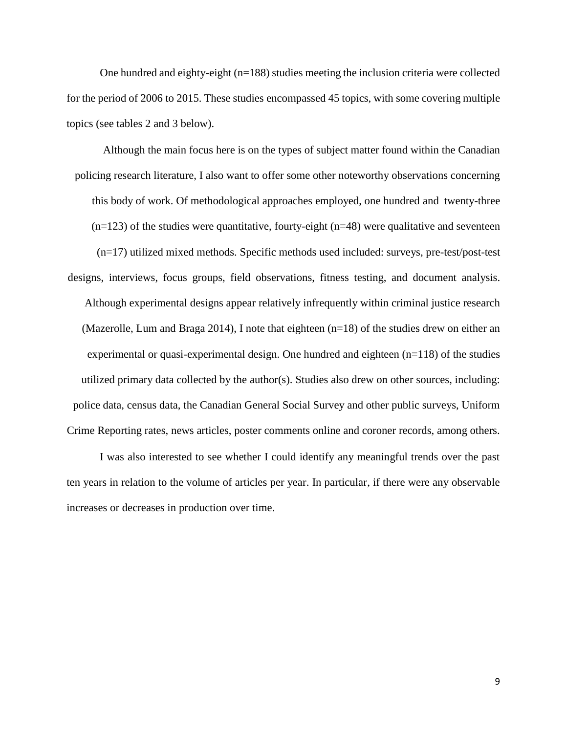One hundred and eighty-eight (n=188) studies meeting the inclusion criteria were collected for the period of 2006 to 2015. These studies encompassed 45 topics, with some covering multiple topics (see tables 2 and 3 below).

Although the main focus here is on the types of subject matter found within the Canadian policing research literature, I also want to offer some other noteworthy observations concerning this body of work. Of methodological approaches employed, one hundred and twenty-three  $(n=123)$  of the studies were quantitative, fourty-eight  $(n=48)$  were qualitative and seventeen (n=17) utilized mixed methods. Specific methods used included: surveys, pre-test/post-test designs, interviews, focus groups, field observations, fitness testing, and document analysis. Although experimental designs appear relatively infrequently within criminal justice research (Mazerolle, Lum and Braga 2014), I note that eighteen  $(n=18)$  of the studies drew on either an experimental or quasi-experimental design. One hundred and eighteen  $(n=118)$  of the studies utilized primary data collected by the author(s). Studies also drew on other sources, including: police data, census data, the Canadian General Social Survey and other public surveys, Uniform Crime Reporting rates, news articles, poster comments online and coroner records, among others.

I was also interested to see whether I could identify any meaningful trends over the past ten years in relation to the volume of articles per year. In particular, if there were any observable increases or decreases in production over time.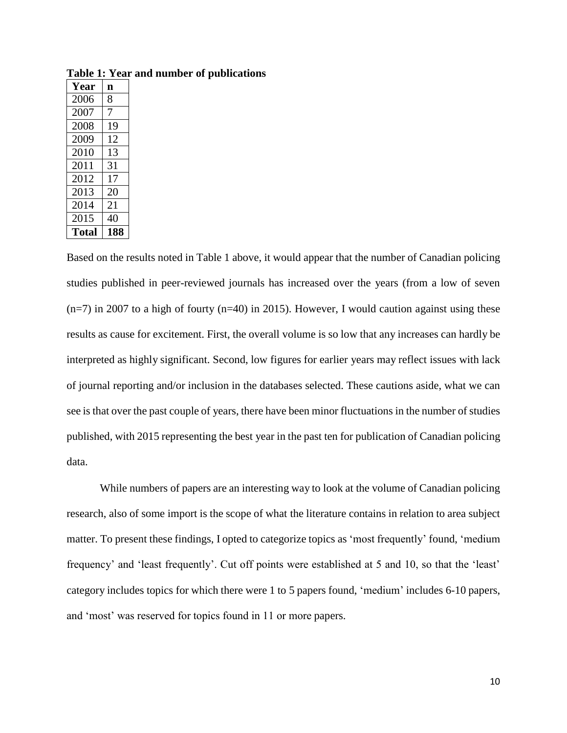| Year         | n   |
|--------------|-----|
| 2006         | 8   |
| 2007         | 7   |
| 2008         | 19  |
| 2009         | 12  |
| 2010         | 13  |
| 2011         | 31  |
| 2012         | 17  |
| 2013         | 20  |
| 2014         | 21  |
| 2015         | 40  |
| <b>Total</b> | 18: |

**Table 1: Year and number of publications**

Based on the results noted in Table 1 above, it would appear that the number of Canadian policing studies published in peer-reviewed journals has increased over the years (from a low of seven  $(n=7)$  in 2007 to a high of fourty  $(n=40)$  in 2015). However, I would caution against using these results as cause for excitement. First, the overall volume is so low that any increases can hardly be interpreted as highly significant. Second, low figures for earlier years may reflect issues with lack of journal reporting and/or inclusion in the databases selected. These cautions aside, what we can see is that over the past couple of years, there have been minor fluctuations in the number of studies published, with 2015 representing the best year in the past ten for publication of Canadian policing data.

While numbers of papers are an interesting way to look at the volume of Canadian policing research, also of some import is the scope of what the literature contains in relation to area subject matter. To present these findings, I opted to categorize topics as 'most frequently' found, 'medium frequency' and 'least frequently'. Cut off points were established at 5 and 10, so that the 'least' category includes topics for which there were 1 to 5 papers found, 'medium' includes 6-10 papers, and 'most' was reserved for topics found in 11 or more papers.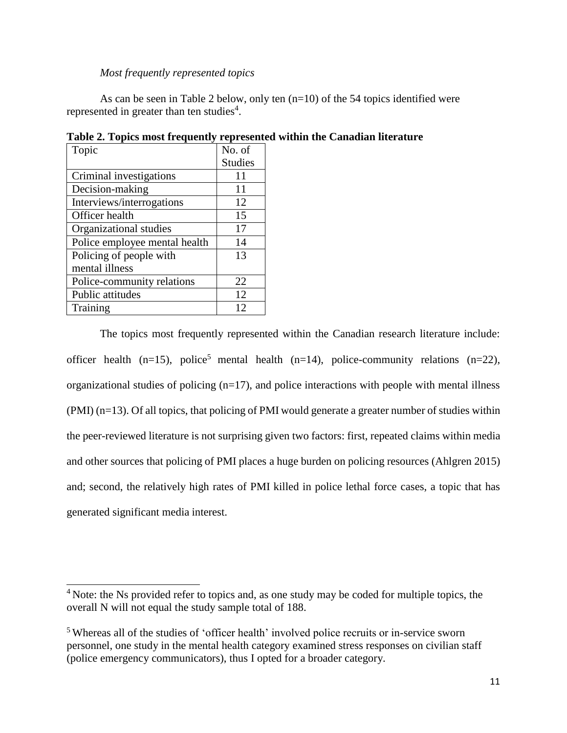#### *Most frequently represented topics*

As can be seen in Table 2 below, only ten (n=10) of the 54 topics identified were represented in greater than ten studies<sup>4</sup>.

| Topic                         | No. of         |
|-------------------------------|----------------|
|                               | <b>Studies</b> |
| Criminal investigations       | 11             |
| Decision-making               | 11             |
| Interviews/interrogations     | 12             |
| Officer health                | 15             |
| Organizational studies        | 17             |
| Police employee mental health | 14             |
| Policing of people with       | 13             |
| mental illness                |                |
| Police-community relations    | 22             |
| Public attitudes              | 12             |
| Training                      | 12             |

**Table 2. Topics most frequently represented within the Canadian literature**

The topics most frequently represented within the Canadian research literature include: officer health (n=15), police<sup>5</sup> mental health (n=14), police-community relations (n=22), organizational studies of policing  $(n=17)$ , and police interactions with people with mental illness (PMI) (n=13). Of all topics, that policing of PMI would generate a greater number of studies within the peer-reviewed literature is not surprising given two factors: first, repeated claims within media and other sources that policing of PMI places a huge burden on policing resources (Ahlgren 2015) and; second, the relatively high rates of PMI killed in police lethal force cases, a topic that has generated significant media interest.

<sup>&</sup>lt;sup>4</sup> Note: the Ns provided refer to topics and, as one study may be coded for multiple topics, the overall N will not equal the study sample total of 188.

<sup>5</sup>Whereas all of the studies of 'officer health' involved police recruits or in-service sworn personnel, one study in the mental health category examined stress responses on civilian staff (police emergency communicators), thus I opted for a broader category.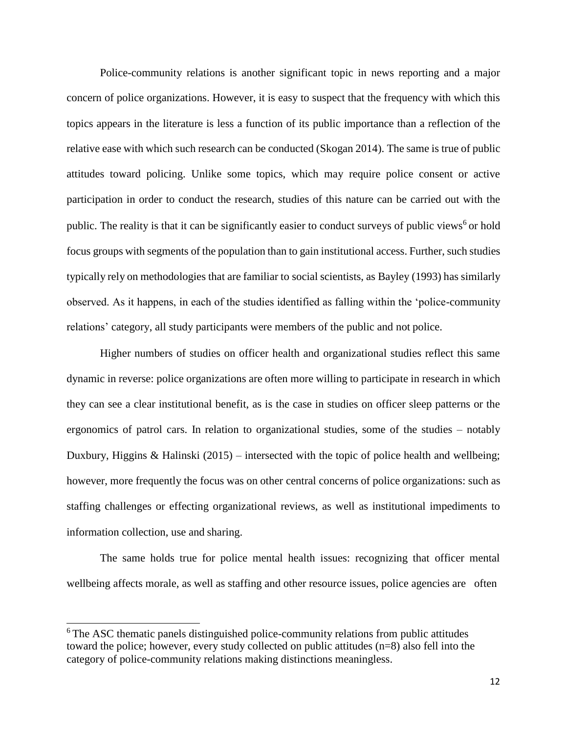Police-community relations is another significant topic in news reporting and a major concern of police organizations. However, it is easy to suspect that the frequency with which this topics appears in the literature is less a function of its public importance than a reflection of the relative ease with which such research can be conducted (Skogan 2014). The same is true of public attitudes toward policing. Unlike some topics, which may require police consent or active participation in order to conduct the research, studies of this nature can be carried out with the public. The reality is that it can be significantly easier to conduct surveys of public views<sup>6</sup> or hold focus groups with segments of the population than to gain institutional access. Further, such studies typically rely on methodologies that are familiar to social scientists, as Bayley (1993) has similarly observed. As it happens, in each of the studies identified as falling within the 'police-community relations' category, all study participants were members of the public and not police.

Higher numbers of studies on officer health and organizational studies reflect this same dynamic in reverse: police organizations are often more willing to participate in research in which they can see a clear institutional benefit, as is the case in studies on officer sleep patterns or the ergonomics of patrol cars. In relation to organizational studies, some of the studies – notably Duxbury, Higgins & Halinski (2015) – intersected with the topic of police health and wellbeing; however, more frequently the focus was on other central concerns of police organizations: such as staffing challenges or effecting organizational reviews, as well as institutional impediments to information collection, use and sharing.

The same holds true for police mental health issues: recognizing that officer mental wellbeing affects morale, as well as staffing and other resource issues, police agencies are often

<sup>&</sup>lt;sup>6</sup>The ASC thematic panels distinguished police-community relations from public attitudes toward the police; however, every study collected on public attitudes (n=8) also fell into the category of police-community relations making distinctions meaningless.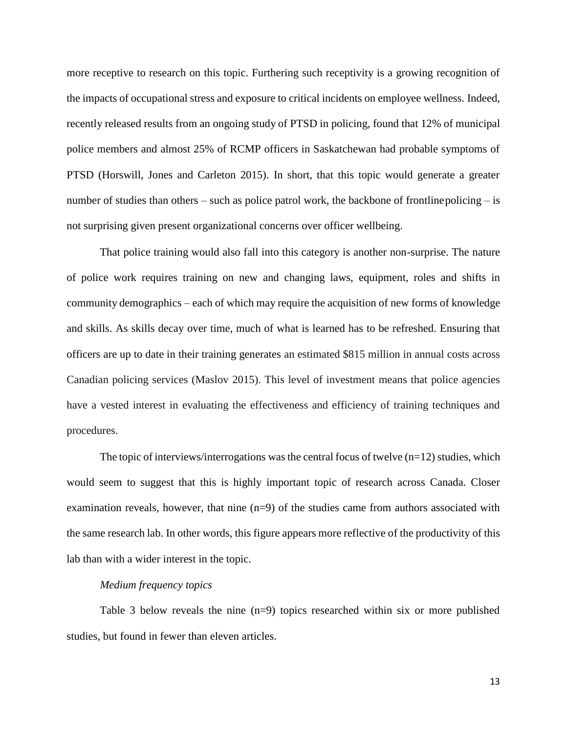more receptive to research on this topic. Furthering such receptivity is a growing recognition of the impacts of occupational stress and exposure to critical incidents on employee wellness. Indeed, recently released results from an ongoing study of PTSD in policing, found that 12% of municipal police members and almost 25% of RCMP officers in Saskatchewan had probable symptoms of PTSD (Horswill, Jones and Carleton 2015). In short, that this topic would generate a greater number of studies than others – such as police patrol work, the backbone of frontline policing – is not surprising given present organizational concerns over officer wellbeing.

That police training would also fall into this category is another non-surprise. The nature of police work requires training on new and changing laws, equipment, roles and shifts in community demographics – each of which may require the acquisition of new forms of knowledge and skills. As skills decay over time, much of what is learned has to be refreshed. Ensuring that officers are up to date in their training generates an estimated \$815 million in annual costs across Canadian policing services (Maslov 2015). This level of investment means that police agencies have a vested interest in evaluating the effectiveness and efficiency of training techniques and procedures.

The topic of interviews/interrogations was the central focus of twelve  $(n=12)$  studies, which would seem to suggest that this is highly important topic of research across Canada. Closer examination reveals, however, that nine  $(n=9)$  of the studies came from authors associated with the same research lab. In other words, this figure appears more reflective of the productivity of this lab than with a wider interest in the topic.

# *Medium frequency topics*

Table 3 below reveals the nine (n=9) topics researched within six or more published studies, but found in fewer than eleven articles.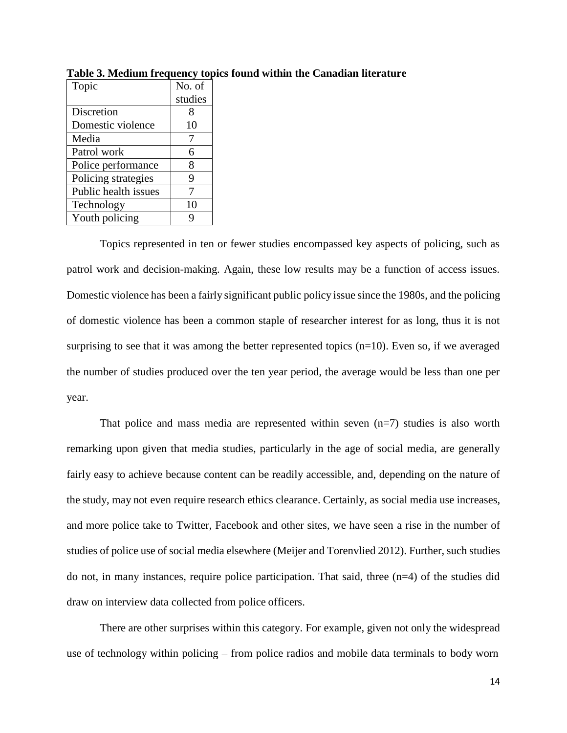| Topic                | No. of  |
|----------------------|---------|
|                      | studies |
| Discretion           | 8       |
| Domestic violence    | 10      |
| Media                |         |
| Patrol work          | 6       |
| Police performance   | 8       |
| Policing strategies  | 9       |
| Public health issues | 7       |
| Technology           | 10      |
| Youth policing       |         |

**Table 3. Medium frequency topics found within the Canadian literature**

Topics represented in ten or fewer studies encompassed key aspects of policing, such as patrol work and decision-making. Again, these low results may be a function of access issues. Domestic violence has been a fairly significant public policy issue since the 1980s, and the policing of domestic violence has been a common staple of researcher interest for as long, thus it is not surprising to see that it was among the better represented topics  $(n=10)$ . Even so, if we averaged the number of studies produced over the ten year period, the average would be less than one per year.

That police and mass media are represented within seven  $(n=7)$  studies is also worth remarking upon given that media studies, particularly in the age of social media, are generally fairly easy to achieve because content can be readily accessible, and, depending on the nature of the study, may not even require research ethics clearance. Certainly, as social media use increases, and more police take to Twitter, Facebook and other sites, we have seen a rise in the number of studies of police use of social media elsewhere (Meijer and Torenvlied 2012). Further, such studies do not, in many instances, require police participation. That said, three (n=4) of the studies did draw on interview data collected from police officers.

There are other surprises within this category. For example, given not only the widespread use of technology within policing – from police radios and mobile data terminals to body worn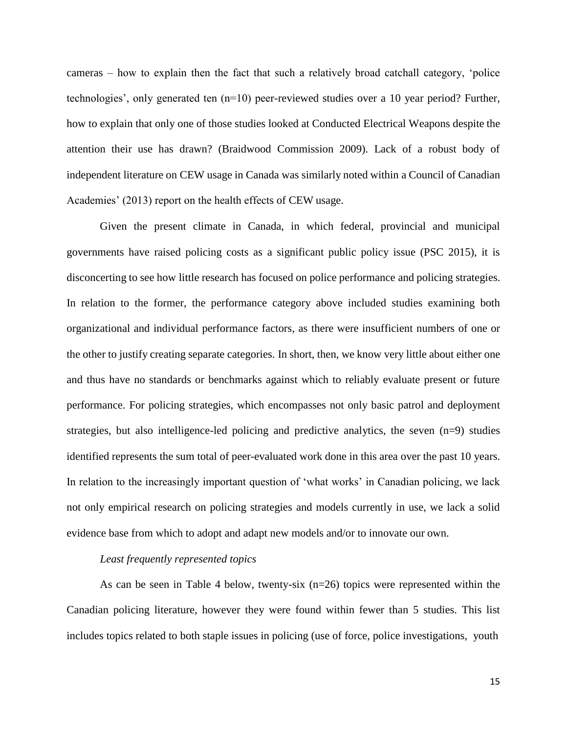cameras – how to explain then the fact that such a relatively broad catchall category, 'police technologies', only generated ten (n=10) peer-reviewed studies over a 10 year period? Further, how to explain that only one of those studies looked at Conducted Electrical Weapons despite the attention their use has drawn? (Braidwood Commission 2009). Lack of a robust body of independent literature on CEW usage in Canada was similarly noted within a Council of Canadian Academies' (2013) report on the health effects of CEW usage.

Given the present climate in Canada, in which federal, provincial and municipal governments have raised policing costs as a significant public policy issue (PSC 2015), it is disconcerting to see how little research has focused on police performance and policing strategies. In relation to the former, the performance category above included studies examining both organizational and individual performance factors, as there were insufficient numbers of one or the other to justify creating separate categories. In short, then, we know very little about either one and thus have no standards or benchmarks against which to reliably evaluate present or future performance. For policing strategies, which encompasses not only basic patrol and deployment strategies, but also intelligence-led policing and predictive analytics, the seven (n=9) studies identified represents the sum total of peer-evaluated work done in this area over the past 10 years. In relation to the increasingly important question of 'what works' in Canadian policing, we lack not only empirical research on policing strategies and models currently in use, we lack a solid evidence base from which to adopt and adapt new models and/or to innovate our own.

# *Least frequently represented topics*

As can be seen in Table 4 below, twenty-six  $(n=26)$  topics were represented within the Canadian policing literature, however they were found within fewer than 5 studies. This list includes topics related to both staple issues in policing (use of force, police investigations, youth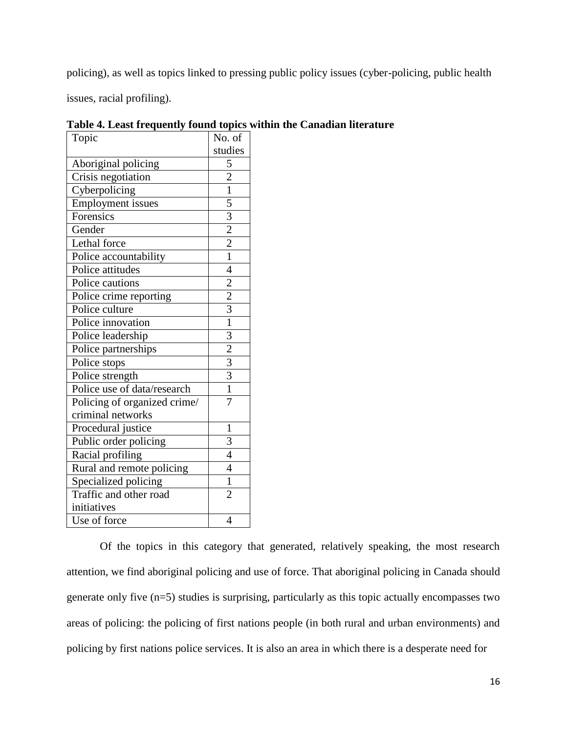policing), as well as topics linked to pressing public policy issues (cyber-policing, public health

issues, racial profiling).

| Topic                        | No. of                                    |
|------------------------------|-------------------------------------------|
|                              | studies                                   |
| Aboriginal policing          | $\overline{5}$                            |
| Crisis negotiation           | $\frac{2}{1}$                             |
| Cyberpolicing                |                                           |
| <b>Employment</b> issues     | $\frac{5}{3}$ $\frac{2}{2}$ $\frac{2}{1}$ |
| Forensics                    |                                           |
| Gender                       |                                           |
| Lethal force                 |                                           |
| Police accountability        |                                           |
| Police attitudes             | $\overline{4}$                            |
| Police cautions              |                                           |
| Police crime reporting       | $\frac{2}{2}$ $\frac{2}{1}$               |
| Police culture               |                                           |
| Police innovation            |                                           |
| Police leadership            |                                           |
| Police partnerships          | $\frac{3}{2}$ $\frac{2}{3}$ $\frac{3}{1}$ |
| Police stops                 |                                           |
| Police strength              |                                           |
| Police use of data/research  |                                           |
| Policing of organized crime/ | $\overline{7}$                            |
| criminal networks            |                                           |
| Procedural justice           | $\mathbf{1}$                              |
| Public order policing        | 3                                         |
| Racial profiling             | $\overline{4}$                            |
| Rural and remote policing    | $\overline{4}$                            |
| Specialized policing         | $\overline{1}$                            |
| Traffic and other road       | $\overline{2}$                            |
| initiatives                  |                                           |
| Use of force                 | 4                                         |

**Table 4. Least frequently found topics within the Canadian literature**

Of the topics in this category that generated, relatively speaking, the most research attention, we find aboriginal policing and use of force. That aboriginal policing in Canada should generate only five (n=5) studies is surprising, particularly as this topic actually encompasses two areas of policing: the policing of first nations people (in both rural and urban environments) and policing by first nations police services. It is also an area in which there is a desperate need for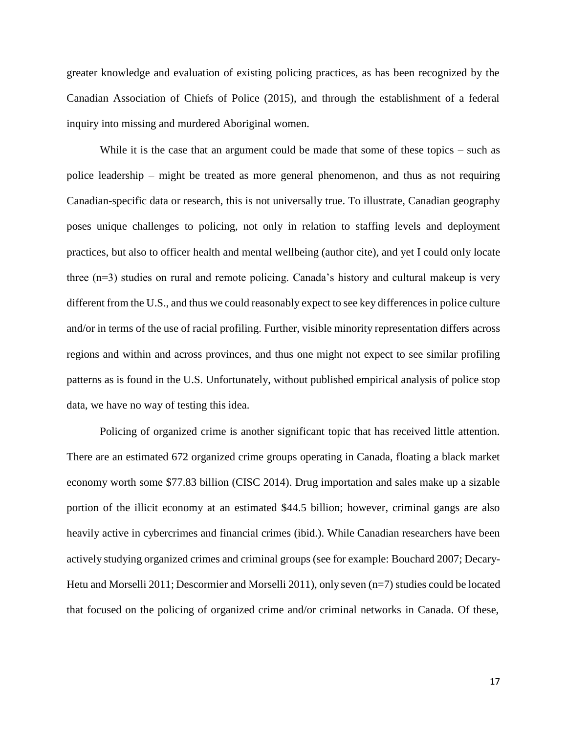greater knowledge and evaluation of existing policing practices, as has been recognized by the Canadian Association of Chiefs of Police (2015), and through the establishment of a federal inquiry into missing and murdered Aboriginal women.

While it is the case that an argument could be made that some of these topics – such as police leadership – might be treated as more general phenomenon, and thus as not requiring Canadian-specific data or research, this is not universally true. To illustrate, Canadian geography poses unique challenges to policing, not only in relation to staffing levels and deployment practices, but also to officer health and mental wellbeing (author cite), and yet I could only locate three (n=3) studies on rural and remote policing. Canada's history and cultural makeup is very different from the U.S., and thus we could reasonably expect to see key differences in police culture and/or in terms of the use of racial profiling. Further, visible minority representation differs across regions and within and across provinces, and thus one might not expect to see similar profiling patterns as is found in the U.S. Unfortunately, without published empirical analysis of police stop data, we have no way of testing this idea.

Policing of organized crime is another significant topic that has received little attention. There are an estimated 672 organized crime groups operating in Canada, floating a black market economy worth some \$77.83 billion (CISC 2014). Drug importation and sales make up a sizable portion of the illicit economy at an estimated \$44.5 billion; however, criminal gangs are also heavily active in cybercrimes and financial crimes (ibid.). While Canadian researchers have been actively studying organized crimes and criminal groups (see for example: Bouchard 2007; Decary-Hetu and Morselli 2011; Descormier and Morselli 2011), only seven (n=7) studies could be located that focused on the policing of organized crime and/or criminal networks in Canada. Of these,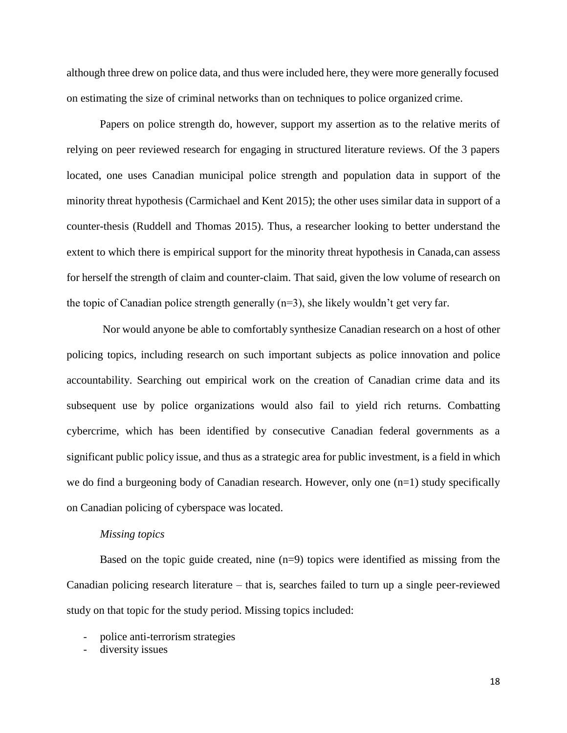although three drew on police data, and thus were included here, they were more generally focused on estimating the size of criminal networks than on techniques to police organized crime.

Papers on police strength do, however, support my assertion as to the relative merits of relying on peer reviewed research for engaging in structured literature reviews. Of the 3 papers located, one uses Canadian municipal police strength and population data in support of the minority threat hypothesis (Carmichael and Kent 2015); the other uses similar data in support of a counter-thesis (Ruddell and Thomas 2015). Thus, a researcher looking to better understand the extent to which there is empirical support for the minority threat hypothesis in Canada, can assess for herself the strength of claim and counter-claim. That said, given the low volume of research on the topic of Canadian police strength generally (n=3), she likely wouldn't get very far.

Nor would anyone be able to comfortably synthesize Canadian research on a host of other policing topics, including research on such important subjects as police innovation and police accountability. Searching out empirical work on the creation of Canadian crime data and its subsequent use by police organizations would also fail to yield rich returns. Combatting cybercrime, which has been identified by consecutive Canadian federal governments as a significant public policy issue, and thus as a strategic area for public investment, is a field in which we do find a burgeoning body of Canadian research. However, only one  $(n=1)$  study specifically on Canadian policing of cyberspace was located.

#### *Missing topics*

Based on the topic guide created, nine (n=9) topics were identified as missing from the Canadian policing research literature – that is, searches failed to turn up a single peer-reviewed study on that topic for the study period. Missing topics included:

- police anti-terrorism strategies
- diversity issues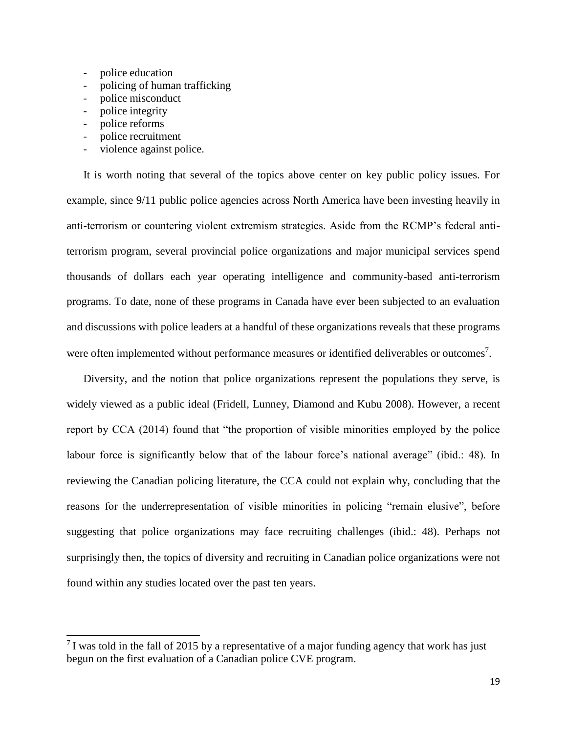- police education
- policing of human trafficking
- police misconduct
- police integrity
- police reforms
- police recruitment
- violence against police.

It is worth noting that several of the topics above center on key public policy issues. For example, since 9/11 public police agencies across North America have been investing heavily in anti-terrorism or countering violent extremism strategies. Aside from the RCMP's federal antiterrorism program, several provincial police organizations and major municipal services spend thousands of dollars each year operating intelligence and community-based anti-terrorism programs. To date, none of these programs in Canada have ever been subjected to an evaluation and discussions with police leaders at a handful of these organizations reveals that these programs were often implemented without performance measures or identified deliverables or outcomes<sup>7</sup>.

Diversity, and the notion that police organizations represent the populations they serve, is widely viewed as a public ideal (Fridell, Lunney, Diamond and Kubu 2008). However, a recent report by CCA (2014) found that "the proportion of visible minorities employed by the police labour force is significantly below that of the labour force's national average" (ibid.: 48). In reviewing the Canadian policing literature, the CCA could not explain why, concluding that the reasons for the underrepresentation of visible minorities in policing "remain elusive", before suggesting that police organizations may face recruiting challenges (ibid.: 48). Perhaps not surprisingly then, the topics of diversity and recruiting in Canadian police organizations were not found within any studies located over the past ten years.

 $17$  was told in the fall of 2015 by a representative of a major funding agency that work has just begun on the first evaluation of a Canadian police CVE program.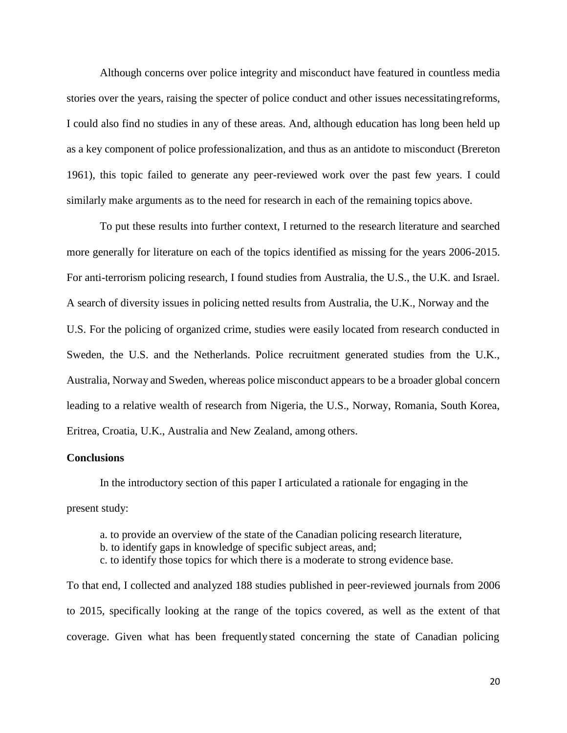Although concerns over police integrity and misconduct have featured in countless media stories over the years, raising the specter of police conduct and other issues necessitatingreforms, I could also find no studies in any of these areas. And, although education has long been held up as a key component of police professionalization, and thus as an antidote to misconduct (Brereton 1961), this topic failed to generate any peer-reviewed work over the past few years. I could similarly make arguments as to the need for research in each of the remaining topics above.

To put these results into further context, I returned to the research literature and searched more generally for literature on each of the topics identified as missing for the years 2006-2015. For anti-terrorism policing research, I found studies from Australia, the U.S., the U.K. and Israel. A search of diversity issues in policing netted results from Australia, the U.K., Norway and the U.S. For the policing of organized crime, studies were easily located from research conducted in Sweden, the U.S. and the Netherlands. Police recruitment generated studies from the U.K., Australia, Norway and Sweden, whereas police misconduct appears to be a broader global concern leading to a relative wealth of research from Nigeria, the U.S., Norway, Romania, South Korea, Eritrea, Croatia, U.K., Australia and New Zealand, among others.

# **Conclusions**

In the introductory section of this paper I articulated a rationale for engaging in the present study:

a. to provide an overview of the state of the Canadian policing research literature,

b. to identify gaps in knowledge of specific subject areas, and;

c. to identify those topics for which there is a moderate to strong evidence base.

To that end, I collected and analyzed 188 studies published in peer-reviewed journals from 2006 to 2015, specifically looking at the range of the topics covered, as well as the extent of that coverage. Given what has been frequently stated concerning the state of Canadian policing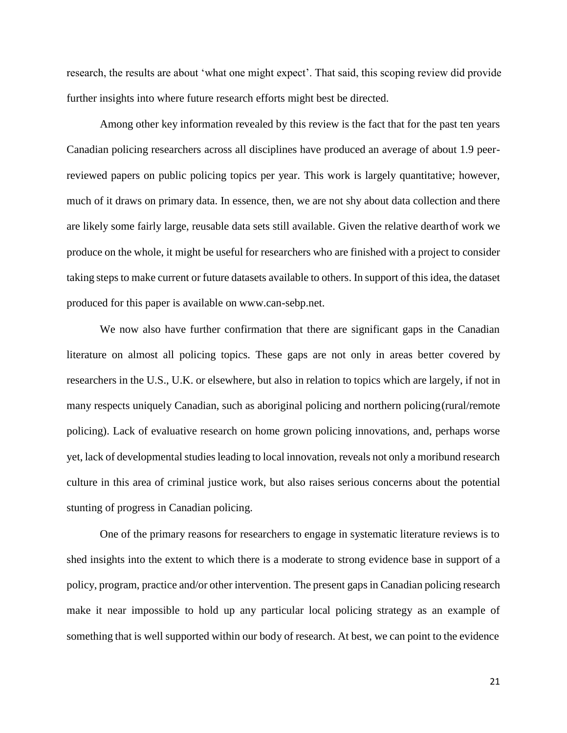research, the results are about 'what one might expect'. That said, this scoping review did provide further insights into where future research efforts might best be directed.

Among other key information revealed by this review is the fact that for the past ten years Canadian policing researchers across all disciplines have produced an average of about 1.9 peerreviewed papers on public policing topics per year. This work is largely quantitative; however, much of it draws on primary data. In essence, then, we are not shy about data collection and there are likely some fairly large, reusable data sets still available. Given the relative dearthof work we produce on the whole, it might be useful for researchers who are finished with a project to consider taking steps to make current or future datasets available to others. In support of this idea, the dataset produced for this paper is available on [www.can-sebp.net.](http://www.can-sebp.net/)

We now also have further confirmation that there are significant gaps in the Canadian literature on almost all policing topics. These gaps are not only in areas better covered by researchers in the U.S., U.K. or elsewhere, but also in relation to topics which are largely, if not in many respects uniquely Canadian, such as aboriginal policing and northern policing(rural/remote policing). Lack of evaluative research on home grown policing innovations, and, perhaps worse yet, lack of developmental studies leading to local innovation, reveals not only a moribund research culture in this area of criminal justice work, but also raises serious concerns about the potential stunting of progress in Canadian policing.

One of the primary reasons for researchers to engage in systematic literature reviews is to shed insights into the extent to which there is a moderate to strong evidence base in support of a policy, program, practice and/or other intervention. The present gaps in Canadian policing research make it near impossible to hold up any particular local policing strategy as an example of something that is well supported within our body of research. At best, we can point to the evidence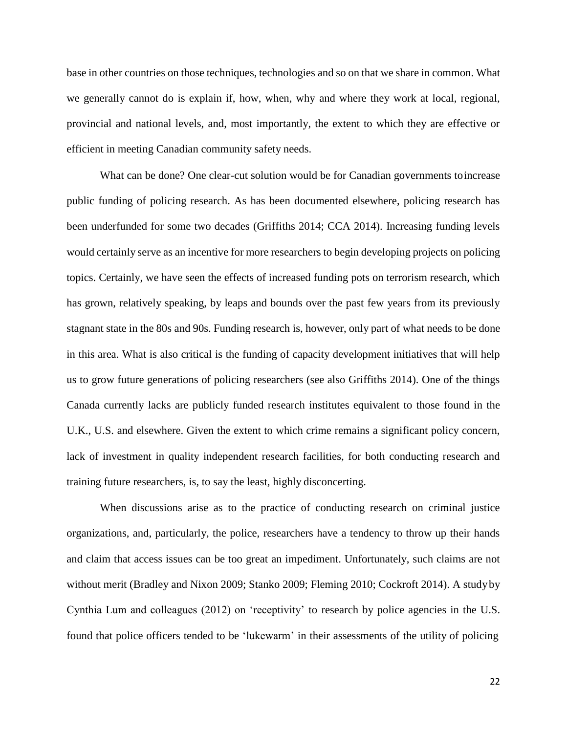base in other countries on those techniques, technologies and so on that we share in common. What we generally cannot do is explain if, how, when, why and where they work at local, regional, provincial and national levels, and, most importantly, the extent to which they are effective or efficient in meeting Canadian community safety needs.

What can be done? One clear-cut solution would be for Canadian governments toincrease public funding of policing research. As has been documented elsewhere, policing research has been underfunded for some two decades (Griffiths 2014; CCA 2014). Increasing funding levels would certainly serve as an incentive for more researchers to begin developing projects on policing topics. Certainly, we have seen the effects of increased funding pots on terrorism research, which has grown, relatively speaking, by leaps and bounds over the past few years from its previously stagnant state in the 80s and 90s. Funding research is, however, only part of what needs to be done in this area. What is also critical is the funding of capacity development initiatives that will help us to grow future generations of policing researchers (see also Griffiths 2014). One of the things Canada currently lacks are publicly funded research institutes equivalent to those found in the U.K., U.S. and elsewhere. Given the extent to which crime remains a significant policy concern, lack of investment in quality independent research facilities, for both conducting research and training future researchers, is, to say the least, highly disconcerting.

When discussions arise as to the practice of conducting research on criminal justice organizations, and, particularly, the police, researchers have a tendency to throw up their hands and claim that access issues can be too great an impediment. Unfortunately, such claims are not without merit (Bradley and Nixon 2009; Stanko 2009; Fleming 2010; Cockroft 2014). A studyby Cynthia Lum and colleagues (2012) on 'receptivity' to research by police agencies in the U.S. found that police officers tended to be 'lukewarm' in their assessments of the utility of policing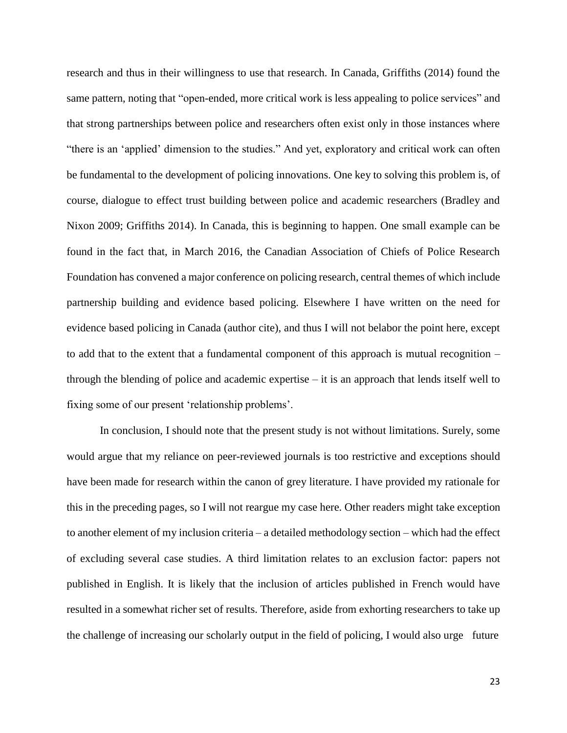research and thus in their willingness to use that research. In Canada, Griffiths (2014) found the same pattern, noting that "open-ended, more critical work is less appealing to police services" and that strong partnerships between police and researchers often exist only in those instances where "there is an 'applied' dimension to the studies." And yet, exploratory and critical work can often be fundamental to the development of policing innovations. One key to solving this problem is, of course, dialogue to effect trust building between police and academic researchers (Bradley and Nixon 2009; Griffiths 2014). In Canada, this is beginning to happen. One small example can be found in the fact that, in March 2016, the Canadian Association of Chiefs of Police Research Foundation has convened a major conference on policing research, central themes of which include partnership building and evidence based policing. Elsewhere I have written on the need for evidence based policing in Canada (author cite), and thus I will not belabor the point here, except to add that to the extent that a fundamental component of this approach is mutual recognition – through the blending of police and academic expertise – it is an approach that lends itself well to fixing some of our present 'relationship problems'.

In conclusion, I should note that the present study is not without limitations. Surely, some would argue that my reliance on peer-reviewed journals is too restrictive and exceptions should have been made for research within the canon of grey literature. I have provided my rationale for this in the preceding pages, so I will not reargue my case here. Other readers might take exception to another element of my inclusion criteria – a detailed methodology section – which had the effect of excluding several case studies. A third limitation relates to an exclusion factor: papers not published in English. It is likely that the inclusion of articles published in French would have resulted in a somewhat richer set of results. Therefore, aside from exhorting researchers to take up the challenge of increasing our scholarly output in the field of policing, I would also urge future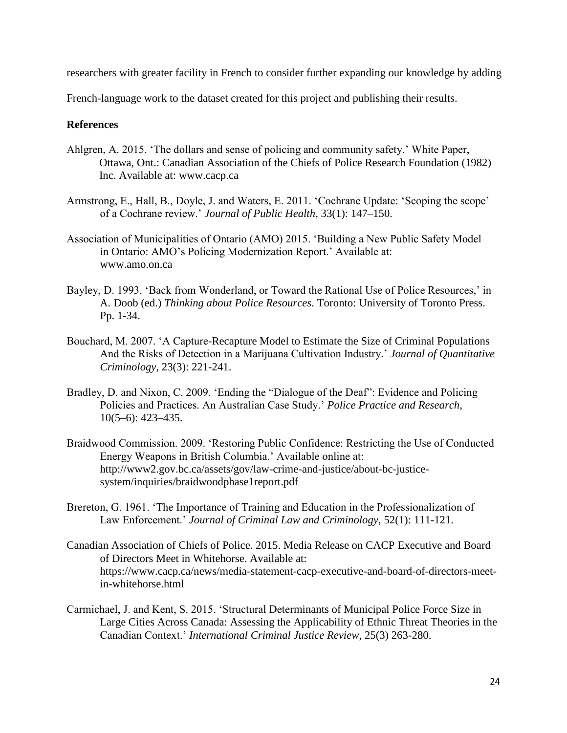researchers with greater facility in French to consider further expanding our knowledge by adding

French-language work to the dataset created for this project and publishing their results.

# **References**

- Ahlgren, A. 2015. 'The dollars and sense of policing and community safety.' White Paper, Ottawa, Ont.: Canadian Association of the Chiefs of Police Research Foundation (1982) Inc. Available at: [www.cacp.ca](http://www.cacp.ca/)
- Armstrong, E., Hall, B., Doyle, J. and Waters, E. 2011. 'Cochrane Update: 'Scoping the scope' of a Cochrane review.' *Journal of Public Health*, 33(1): 147–150.
- Association of Municipalities of Ontario (AMO) 2015. 'Building a New Public Safety Model in Ontario: AMO's Policing Modernization Report.' Available at: [www.amo.on.ca](http://www.amo.on.ca/)
- Bayley, D. 1993. 'Back from Wonderland, or Toward the Rational Use of Police Resources,' in A. Doob (ed.) *Thinking about Police Resources*. Toronto: University of Toronto Press. Pp. 1-34.
- Bouchard, M. 2007. 'A Capture-Recapture Model to Estimate the Size of Criminal Populations And the Risks of Detection in a Marijuana Cultivation Industry.' *Journal of Quantitative Criminology*, 23(3): 221-241.
- Bradley, D. and Nixon, C. 2009. 'Ending the "Dialogue of the Deaf": Evidence and Policing Policies and Practices. An Australian Case Study.' *Police Practice and Research,*  10(5–6): 423–435.
- Braidwood Commission. 2009. 'Restoring Public Confidence: Restricting the Use of Conducted Energy Weapons in British Columbia.' Available online at: [http://www2.gov.bc.ca/assets/gov/law-crime-and-justice/about-bc-justice](http://www2.gov.bc.ca/assets/gov/law-crime-and-justice/about-bc-justice-)system/inquiries/braidwoodphase1report.pdf
- Brereton, G. 1961. 'The Importance of Training and Education in the Professionalization of Law Enforcement.' *Journal of Criminal Law and Criminology*, 52(1): 111-121.
- Canadian Association of Chiefs of Police. 2015. Media Release on CACP Executive and Board of Directors Meet in Whitehorse. Available at: https:[//www.cacp.ca/news/media-statement-cacp-executive-and-board-of-directors-meet](http://www.cacp.ca/news/media-statement-cacp-executive-and-board-of-directors-meet-)in-whitehorse.html
- Carmichael, J. and Kent, S. 2015. 'Structural Determinants of Municipal Police Force Size in Large Cities Across Canada: Assessing the Applicability of Ethnic Threat Theories in the Canadian Context.' *International Criminal Justice Review*, 25(3) 263-280.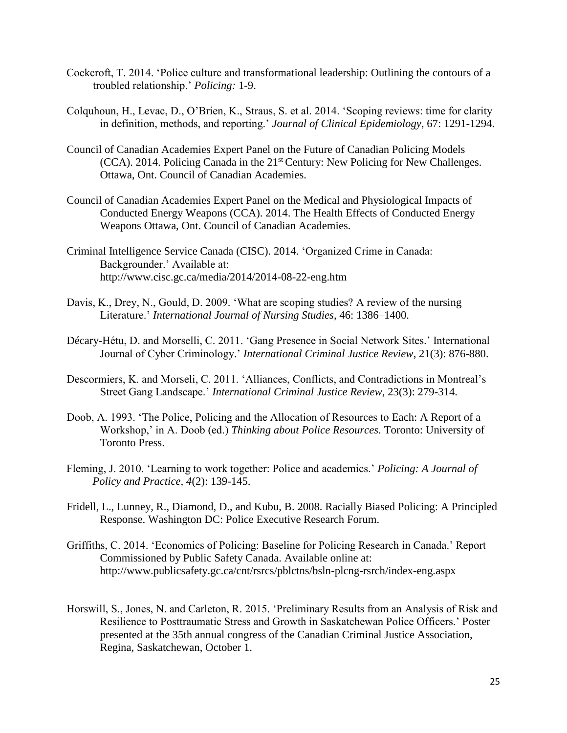- Cockcroft, T. 2014. 'Police culture and transformational leadership: Outlining the contours of a troubled relationship.' *Policing:* 1-9.
- Colquhoun, H., Levac, D., O'Brien, K., Straus, S. et al. 2014. 'Scoping reviews: time for clarity in definition, methods, and reporting.' *Journal of Clinical Epidemiology*, 67: 1291-1294.
- Council of Canadian Academies Expert Panel on the Future of Canadian Policing Models (CCA). 2014. Policing Canada in the 21st Century: New Policing for New Challenges. Ottawa, Ont. Council of Canadian Academies.
- Council of Canadian Academies Expert Panel on the Medical and Physiological Impacts of Conducted Energy Weapons (CCA). 2014. The Health Effects of Conducted Energy Weapons Ottawa, Ont. Council of Canadian Academies.
- Criminal Intelligence Service Canada (CISC). 2014. 'Organized Crime in Canada: Backgrounder.' Available at: <http://www.cisc.gc.ca/media/2014/2014-08-22-eng.htm>
- Davis, K., Drey, N., Gould, D. 2009. 'What are scoping studies? A review of the nursing Literature.' *International Journal of Nursing Studies*, 46: 1386–1400.
- Décary-Hétu, D. and Morselli, C. 2011. 'Gang Presence in Social Network Sites.' International Journal of Cyber Criminology.' *International Criminal Justice Review*, 21(3): 876-880.
- Descormiers, K. and Morseli, C. 2011. 'Alliances, Conflicts, and Contradictions in Montreal's Street Gang Landscape.' *International Criminal Justice Review*, 23(3): 279-314.
- Doob, A. 1993. 'The Police, Policing and the Allocation of Resources to Each: A Report of a Workshop,' in A. Doob (ed.) *Thinking about Police Resources*. Toronto: University of Toronto Press.
- Fleming, J. 2010. 'Learning to work together: Police and academics.' *Policing: A Journal of Policy and Practice, 4*(2): 139-145.
- Fridell, L., Lunney, R., Diamond, D., and Kubu, B. 2008. Racially Biased Policing: A Principled Response. Washington DC: Police Executive Research Forum.
- Griffiths, C. 2014. 'Economics of Policing: Baseline for Policing Research in Canada.' Report Commissioned by Public Safety Canada. Available online at: <http://www.publicsafety.gc.ca/cnt/rsrcs/pblctns/bsln-plcng-rsrch/index-eng.aspx>
- Horswill, S., Jones, N. and Carleton, R. 2015. 'Preliminary Results from an Analysis of Risk and Resilience to Posttraumatic Stress and Growth in Saskatchewan Police Officers.' Poster presented at the 35th annual congress of the Canadian Criminal Justice Association, Regina, Saskatchewan, October 1.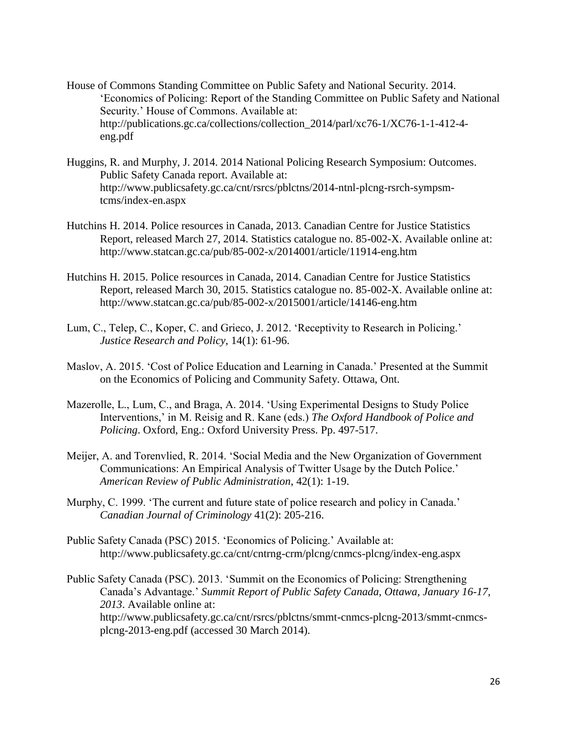- House of Commons Standing Committee on Public Safety and National Security. 2014. 'Economics of Policing: Report of the Standing Committee on Public Safety and National Security.' House of Commons. Available at: [http://publications.gc.ca/collections/collection\\_2014/parl/xc76-1/XC76-1-1-412-4](http://publications.gc.ca/collections/collection_2014/parl/xc76-1/XC76-1-1-412-4-) eng.pdf
- Huggins, R. and Murphy, J. 2014. 2014 National Policing Research Symposium: Outcomes. Public Safety Canada report. Available at: [http://www.publicsafety.gc.ca/cnt/rsrcs/pblctns/2014-ntnl-plcng-rsrch-sympsm](http://www.publicsafety.gc.ca/cnt/rsrcs/pblctns/2014-ntnl-plcng-rsrch-sympsm-)tcms/index-en.aspx
- Hutchins H. 2014. Police resources in Canada, 2013. Canadian Centre for Justice Statistics Report, released March 27, 2014. Statistics catalogue no. 85-002-X. Available online at: <http://www.statcan.gc.ca/pub/85-002-x/2014001/article/11914-eng.htm>
- Hutchins H. 2015. Police resources in Canada, 2014. Canadian Centre for Justice Statistics Report, released March 30, 2015. Statistics catalogue no. 85-002-X. Available online at: <http://www.statcan.gc.ca/pub/85-002-x/2015001/article/14146-eng.htm>
- Lum, C., Telep, C., Koper, C. and Grieco, J. 2012. 'Receptivity to Research in Policing.' *Justice Research and Policy*, 14(1): 61-96.
- Maslov, A. 2015. 'Cost of Police Education and Learning in Canada.' Presented at the Summit on the Economics of Policing and Community Safety. Ottawa, Ont.
- Mazerolle, L., Lum, C., and Braga, A. 2014. 'Using Experimental Designs to Study Police Interventions,' in M. Reisig and R. Kane (eds.) *The Oxford Handbook of Police and Policing*. Oxford, Eng.: Oxford University Press. Pp. 497-517.
- Meijer, A. and Torenvlied, R. 2014. 'Social Media and the New Organization of Government Communications: An Empirical Analysis of Twitter Usage by the Dutch Police.' *American Review of Public Administration*, 42(1): 1-19.
- Murphy, C. 1999. 'The current and future state of police research and policy in Canada.' *Canadian Journal of Criminology* 41(2): 205-216.
- Public Safety Canada (PSC) 2015. 'Economics of Policing.' Available at: <http://www.publicsafety.gc.ca/cnt/cntrng-crm/plcng/cnmcs-plcng/index-eng.aspx>
- Public Safety Canada (PSC). 2013. 'Summit on the Economics of Policing: Strengthening Canada's Advantage.' *Summit Report of Public Safety Canada, Ottawa, January 16-17, 2013*. Available online at: [http://www.publicsafety.gc.ca/cnt/rsrcs/pblctns/smmt-cnmcs-plcng-2013/smmt-cnmcs](http://www.publicsafety.gc.ca/cnt/rsrcs/pblctns/smmt-cnmcs-plcng-2013/smmt-cnmcs-)plcng-2013-eng.pdf (accessed 30 March 2014).